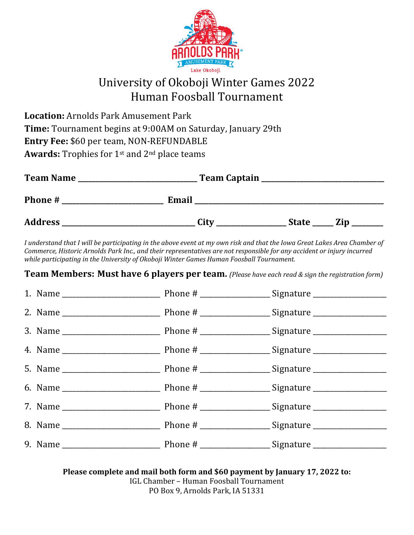

## University of Okoboji Winter Games 2022 Human Foosball Tournament

**Location:** Arnolds Park Amusement Park **Time:** Tournament begins at 9:00AM on Saturday, January 29th **Entry Fee: \$60 per team, NON-REFUNDABLE** Awards: Trophies for 1<sup>st</sup> and 2<sup>nd</sup> place teams

| <b>Team Name</b> | Team Captain |              |     |  |
|------------------|--------------|--------------|-----|--|
| Phone #          | Email        |              |     |  |
| <b>Address</b>   | City         | <b>State</b> | Zip |  |

*I* understand that *I* will be participating in the above event at my own risk and that the Iowa Great Lakes Area Chamber of *Commerce, Historic Arnolds Park Inc., and their representatives are not responsible for any accident or injury incurred* while participating in the University of Okoboji Winter Games Human Foosball Tournament.

**Team Members: Must have 6 players per team.** (Please have each read & sign the registration form)

**Please complete and mail both form and \$60 payment by January 17, 2022 to:** IGL Chamber - Human Foosball Tournament PO Box 9, Arnolds Park, IA 51331